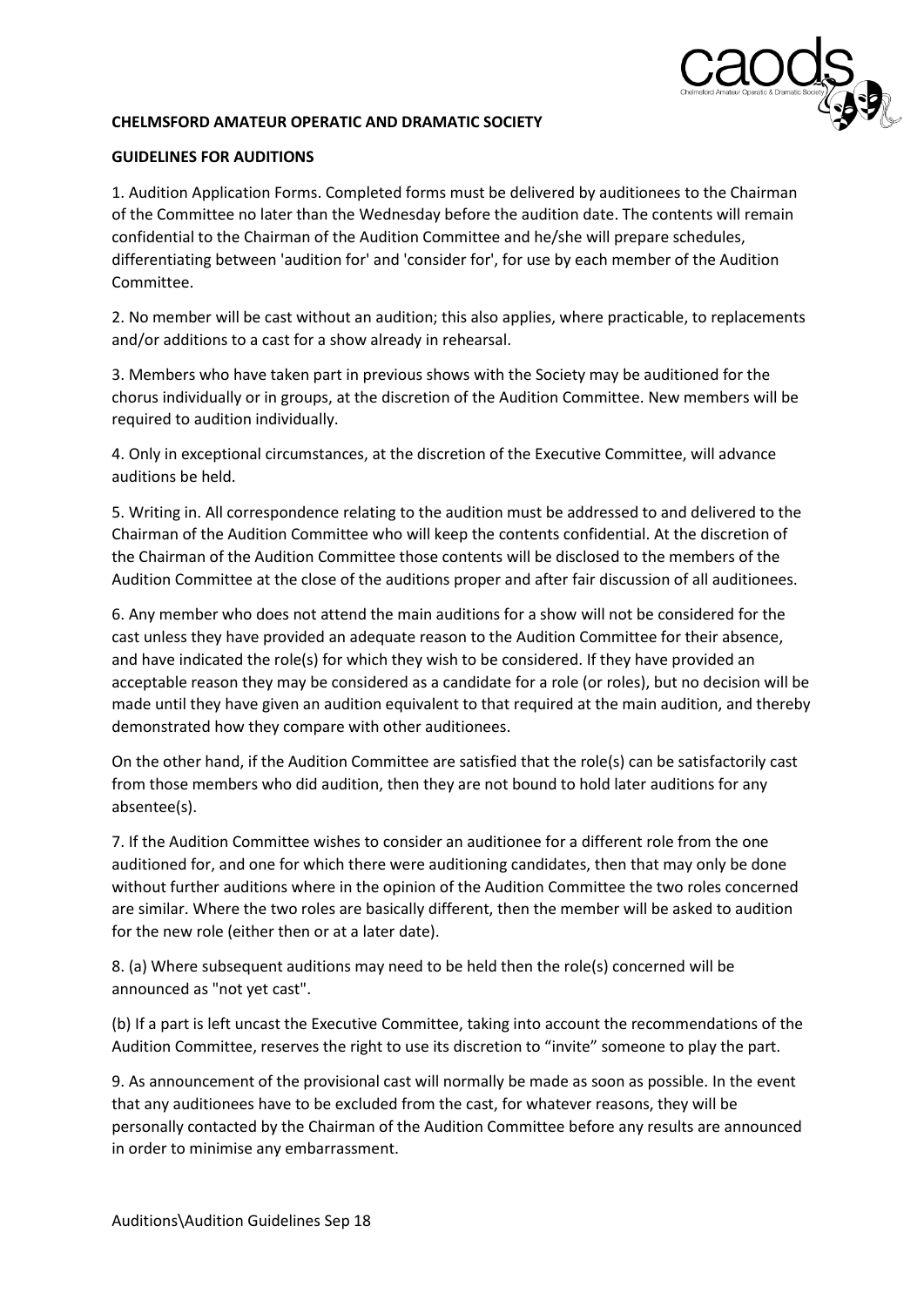

## **CHELMSFORD AMATEUR OPERATIC AND DRAMATIC SOCIETY**

## **GUIDELINES FOR AUDITIONS**

1. Audition Application Forms. Completed forms must be delivered by auditionees to the Chairman of the Committee no later than the Wednesday before the audition date. The contents will remain confidential to the Chairman of the Audition Committee and he/she will prepare schedules, differentiating between 'audition for' and 'consider for', for use by each member of the Audition Committee.

2. No member will be cast without an audition; this also applies, where practicable, to replacements and/or additions to a cast for a show already in rehearsal.

3. Members who have taken part in previous shows with the Society may be auditioned for the chorus individually or in groups, at the discretion of the Audition Committee. New members will be required to audition individually.

4. Only in exceptional circumstances, at the discretion of the Executive Committee, will advance auditions be held.

5. Writing in. All correspondence relating to the audition must be addressed to and delivered to the Chairman of the Audition Committee who will keep the contents confidential. At the discretion of the Chairman of the Audition Committee those contents will be disclosed to the members of the Audition Committee at the close of the auditions proper and after fair discussion of all auditionees.

6. Any member who does not attend the main auditions for a show will not be considered for the cast unless they have provided an adequate reason to the Audition Committee for their absence, and have indicated the role(s) for which they wish to be considered. If they have provided an acceptable reason they may be considered as a candidate for a role (or roles), but no decision will be made until they have given an audition equivalent to that required at the main audition, and thereby demonstrated how they compare with other auditionees.

On the other hand, if the Audition Committee are satisfied that the role(s) can be satisfactorily cast from those members who did audition, then they are not bound to hold later auditions for any absentee(s).

7. If the Audition Committee wishes to consider an auditionee for a different role from the one auditioned for, and one for which there were auditioning candidates, then that may only be done without further auditions where in the opinion of the Audition Committee the two roles concerned are similar. Where the two roles are basically different, then the member will be asked to audition for the new role (either then or at a later date).

8. (a) Where subsequent auditions may need to be held then the role(s) concerned will be announced as "not yet cast".

(b) If a part is left uncast the Executive Committee, taking into account the recommendations of the Audition Committee, reserves the right to use its discretion to "invite" someone to play the part.

9. As announcement of the provisional cast will normally be made as soon as possible. In the event that any auditionees have to be excluded from the cast, for whatever reasons, they will be personally contacted by the Chairman of the Audition Committee before any results are announced in order to minimise any embarrassment.